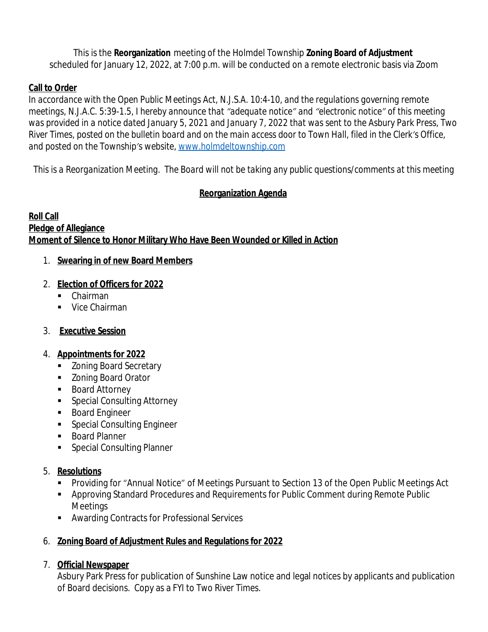This is the **Reorganization** meeting of the Holmdel Township **Zoning Board of Adjustment** scheduled for January 12, 2022, at 7:00 p.m. will be conducted on a remote electronic basis via Zoom

### **Call to Order**

*In accordance with the Open Public Meetings Act, N.J.S.A. 10:4-10, and the regulations governing remote meetings, N.J.A.C. 5:39-1.5, I hereby announce that "adequate notice" and "electronic notice" of this meeting was provided in a notice dated January 5, 2021 and January 7, 2022 that was sent to the Asbury Park Press, Two River Times, posted on the bulletin board and on the main access door to Town Hall, filed in the Clerk's Office, and posted on the Township's website, [www.holmdeltownship.com](http://www.holmdeltownship.com)*

*This is a Reorganization Meeting. The Board will not be taking any public questions/comments at this meeting*

# **Reorganization Agenda**

#### **Roll Call Pledge of Allegiance Moment of Silence to Honor Military Who Have Been Wounded or Killed in Action**

# 1. **Swearing in of new Board Members**

# 2. **Election of Officers for 2022**

- Chairman
- Vice Chairman

# 3. **Executive Session**

### 4. **Appointments for 2022**

- **EXECONING** Board Secretary
- **EXECONT AT A Zoning Board Orator**
- Board Attorney
- **Special Consulting Attorney**
- **Board Engineer**
- **Special Consulting Engineer**
- **Board Planner**
- **Special Consulting Planner**

### 5. **Resolutions**

- Providing for "Annual Notice" of Meetings Pursuant to Section 13 of the Open Public Meetings Act
- Approving Standard Procedures and Requirements for Public Comment during Remote Public Meetings
- Awarding Contracts for Professional Services

# 6. **Zoning Board of Adjustment Rules and Regulations for 2022**

### 7. **Official Newspaper**

Asbury Park Press for publication of Sunshine Law notice and legal notices by applicants and publication of Board decisions. Copy as a FYI to *Two River Times.*